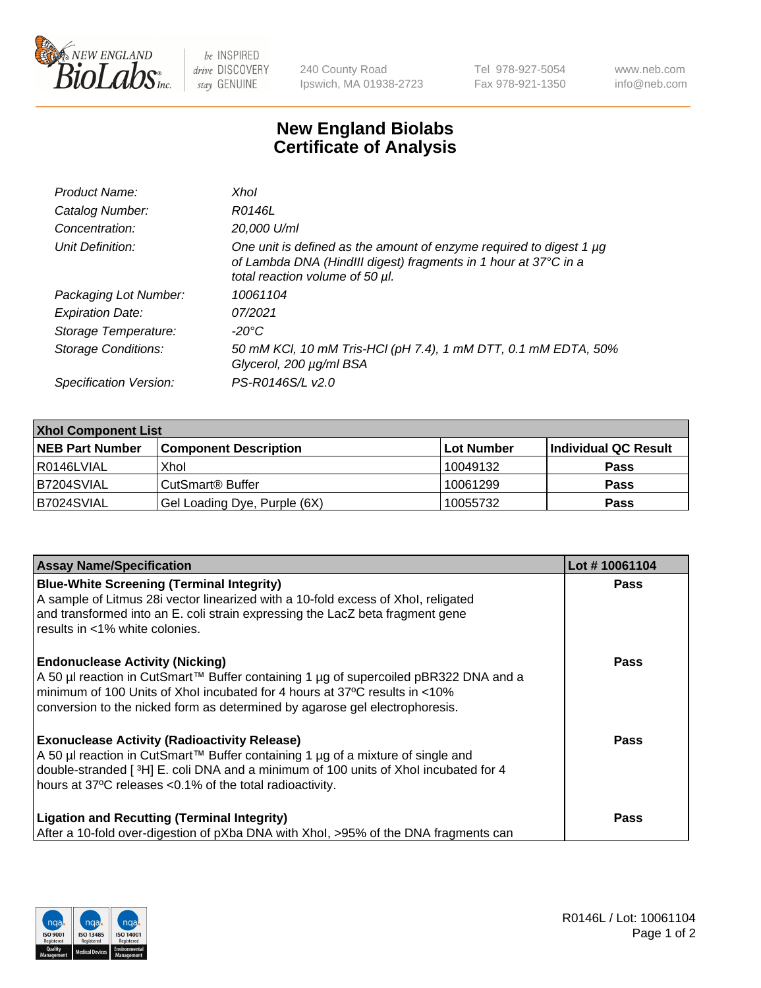

 $be$  INSPIRED drive DISCOVERY stay GENUINE

240 County Road Ipswich, MA 01938-2723 Tel 978-927-5054 Fax 978-921-1350 www.neb.com info@neb.com

## **New England Biolabs Certificate of Analysis**

| Product Name:              | Xhol                                                                                                                                                                      |
|----------------------------|---------------------------------------------------------------------------------------------------------------------------------------------------------------------------|
| Catalog Number:            | R0146L                                                                                                                                                                    |
| Concentration:             | 20,000 U/ml                                                                                                                                                               |
| Unit Definition:           | One unit is defined as the amount of enzyme required to digest 1 µg<br>of Lambda DNA (HindIII digest) fragments in 1 hour at 37°C in a<br>total reaction volume of 50 µl. |
| Packaging Lot Number:      | 10061104                                                                                                                                                                  |
| <b>Expiration Date:</b>    | 07/2021                                                                                                                                                                   |
| Storage Temperature:       | -20°C                                                                                                                                                                     |
| <b>Storage Conditions:</b> | 50 mM KCl, 10 mM Tris-HCl (pH 7.4), 1 mM DTT, 0.1 mM EDTA, 50%<br>Glycerol, 200 µg/ml BSA                                                                                 |
| Specification Version:     | PS-R0146S/L v2.0                                                                                                                                                          |

| <b>Xhol Component List</b> |                              |             |                      |  |  |
|----------------------------|------------------------------|-------------|----------------------|--|--|
| <b>NEB Part Number</b>     | <b>Component Description</b> | ∣Lot Number | Individual QC Result |  |  |
| R0146LVIAL                 | Xhol                         | 10049132    | <b>Pass</b>          |  |  |
| B7204SVIAL                 | CutSmart® Buffer             | 10061299    | <b>Pass</b>          |  |  |
| B7024SVIAL                 | Gel Loading Dye, Purple (6X) | 10055732    | <b>Pass</b>          |  |  |

| <b>Assay Name/Specification</b>                                                                                                                                                                                                                                                           | Lot #10061104 |
|-------------------------------------------------------------------------------------------------------------------------------------------------------------------------------------------------------------------------------------------------------------------------------------------|---------------|
| <b>Blue-White Screening (Terminal Integrity)</b><br>A sample of Litmus 28i vector linearized with a 10-fold excess of Xhol, religated<br>and transformed into an E. coli strain expressing the LacZ beta fragment gene                                                                    | <b>Pass</b>   |
| results in <1% white colonies.<br><b>Endonuclease Activity (Nicking)</b>                                                                                                                                                                                                                  | <b>Pass</b>   |
| A 50 µl reaction in CutSmart™ Buffer containing 1 µg of supercoiled pBR322 DNA and a<br>minimum of 100 Units of Xhol incubated for 4 hours at 37°C results in <10%<br>conversion to the nicked form as determined by agarose gel electrophoresis.                                         |               |
| <b>Exonuclease Activity (Radioactivity Release)</b><br>A 50 µl reaction in CutSmart™ Buffer containing 1 µg of a mixture of single and<br>double-stranded [3H] E. coli DNA and a minimum of 100 units of Xhol incubated for 4<br>hours at 37°C releases <0.1% of the total radioactivity. | Pass          |
| <b>Ligation and Recutting (Terminal Integrity)</b><br>After a 10-fold over-digestion of pXba DNA with Xhol, >95% of the DNA fragments can                                                                                                                                                 | <b>Pass</b>   |